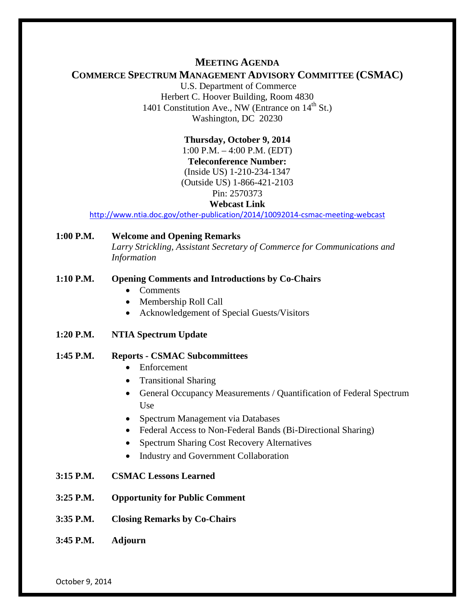## **MEETING AGENDA**

# **COMMERCE SPECTRUM MANAGEMENT ADVISORY COMMITTEE (CSMAC)**

U.S. Department of Commerce Herbert C. Hoover Building, Room 4830 1401 Constitution Ave., NW (Entrance on  $14<sup>th</sup>$  St.) Washington, DC 20230

> **Thursday, October 9, 2014** 1:00 P.M. – 4:00 P.M. (EDT) **Teleconference Number:** (Inside US) 1-210-234-1347 (Outside US) 1-866-421-2103 Pin: 2570373

#### **Webcast Link**

<http://www.ntia.doc.gov/other-publication/2014/10092014-csmac-meeting-webcast>

**1:00 P.M. Welcome and Opening Remarks** *Larry Strickling, Assistant Secretary of Commerce for Communications and Information*

#### **1:10 P.M. Opening Comments and Introductions by Co-Chairs**

- Comments
- Membership Roll Call
- Acknowledgement of Special Guests/Visitors
- **1:20 P.M. NTIA Spectrum Update**

### **1:45 P.M. Reports - CSMAC Subcommittees**

- Enforcement
- Transitional Sharing
- General Occupancy Measurements / Quantification of Federal Spectrum Use
- Spectrum Management via Databases
- Federal Access to Non-Federal Bands (Bi-Directional Sharing)
- Spectrum Sharing Cost Recovery Alternatives
- Industry and Government Collaboration
- **3:15 P.M. CSMAC Lessons Learned**
- **3:25 P.M. Opportunity for Public Comment**
- **3:35 P.M. Closing Remarks by Co-Chairs**
- **3:45 P.M. Adjourn**